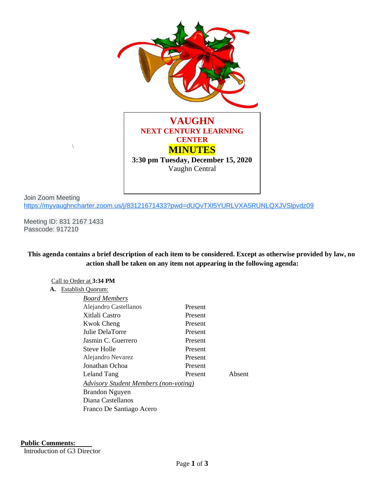

Join Zoom Meeting <https://myvaughncharter.zoom.us/j/83121671433?pwd=dUQvTXl5YURLVXA5RUNLQXJVSlpvdz09>

Meeting ID: 831 2167 1433 Passcode: 917210

 $\setminus$ 

**This agenda contains a brief description of each item to be considered. Except as otherwise provided by law, no action shall be taken on any item not appearing in the following agenda:**

### Call to Order at **3:34 PM**

#### **A.** Establish Quorum:

| <b>Board Members</b>                         |         |        |
|----------------------------------------------|---------|--------|
| Alejandro Castellanos                        | Present |        |
| Xitlali Castro                               | Present |        |
| <b>Kwok Cheng</b>                            | Present |        |
| Julie DelaTorre                              | Present |        |
| Jasmin C. Guerrero                           | Present |        |
| Steve Holle                                  | Present |        |
| Alejandro Nevarez                            | Present |        |
| Jonathan Ochoa                               | Present |        |
| Leland Tang                                  | Present | Absent |
| <b>Advisory Student Members (non-voting)</b> |         |        |
| <b>Brandon Nguyen</b>                        |         |        |
| Diana Castellanos                            |         |        |
| Franco De Santiago Acero                     |         |        |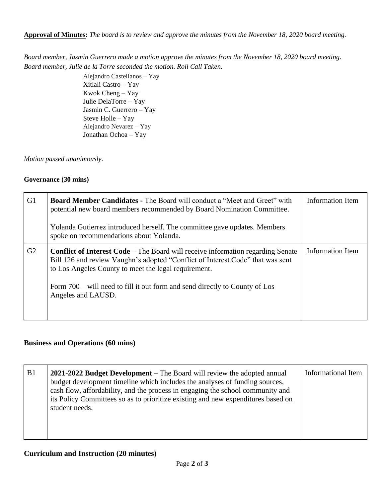**Approval of Minutes:** *The board is to review and approve the minutes from the November 18, 2020 board meeting.*

*Board member, Jasmin Guerrero made a motion approve the minutes from the November 18, 2020 board meeting. Board member, Julie de la Torre seconded the motion. Roll Call Taken.* 

> Alejandro Castellanos – Yay Xitlali Castro – Yay Kwok Cheng – Yay Julie DelaTorre – Yay Jasmin C. Guerrero – Yay Steve Holle – Yay Alejandro Nevarez – Yay Jonathan Ochoa – Yay

*Motion passed unanimously.*

## **Governance (30 mins)**

| G1 | <b>Board Member Candidates - The Board will conduct a "Meet and Greet" with</b><br>potential new board members recommended by Board Nomination Committee.<br>Yolanda Gutierrez introduced herself. The committee gave updates. Members<br>spoke on recommendations about Yolanda.                                                     | Information Item |
|----|---------------------------------------------------------------------------------------------------------------------------------------------------------------------------------------------------------------------------------------------------------------------------------------------------------------------------------------|------------------|
| G2 | <b>Conflict of Interest Code – The Board will receive information regarding Senate</b><br>Bill 126 and review Vaughn's adopted "Conflict of Interest Code" that was sent<br>to Los Angeles County to meet the legal requirement.<br>Form 700 – will need to fill it out form and send directly to County of Los<br>Angeles and LAUSD. | Information Item |

# **Business and Operations (60 mins)**

| B1 | <b>2021-2022 Budget Development</b> – The Board will review the adopted annual<br>budget development timeline which includes the analyses of funding sources,<br>cash flow, affordability, and the process in engaging the school community and<br>its Policy Committees so as to prioritize existing and new expenditures based on<br>student needs. | Informational Item |
|----|-------------------------------------------------------------------------------------------------------------------------------------------------------------------------------------------------------------------------------------------------------------------------------------------------------------------------------------------------------|--------------------|
|----|-------------------------------------------------------------------------------------------------------------------------------------------------------------------------------------------------------------------------------------------------------------------------------------------------------------------------------------------------------|--------------------|